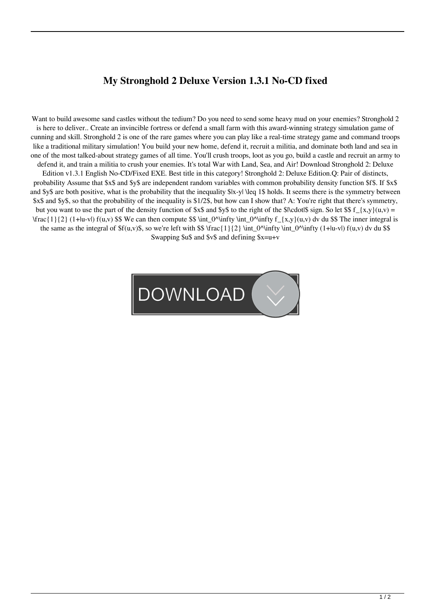## **My Stronghold 2 Deluxe Version 1.3.1 No-CD fixed**

Want to build awesome sand castles without the tedium? Do you need to send some heavy mud on your enemies? Stronghold 2 is here to deliver.. Create an invincible fortress or defend a small farm with this award-winning strategy simulation game of cunning and skill. Stronghold 2 is one of the rare games where you can play like a real-time strategy game and command troops like a traditional military simulation! You build your new home, defend it, recruit a militia, and dominate both land and sea in one of the most talked-about strategy games of all time. You'll crush troops, loot as you go, build a castle and recruit an army to defend it, and train a militia to crush your enemies. It's total War with Land, Sea, and Air! Download Stronghold 2: Deluxe Edition v1.3.1 English No-CD/Fixed EXE. Best title in this category! Stronghold 2: Deluxe Edition.Q: Pair of distincts, probability Assume that \$x\$ and \$y\$ are independent random variables with common probability density function \$f\$. If \$x\$ and \$y\$ are both positive, what is the probability that the inequality \$|x-y| \leq 1\$ holds. It seems there is the symmetry between \$x\$ and \$y\$, so that the probability of the inequality is \$1/2\$, but how can I show that? A: You're right that there's symmetry, but you want to use the part of the density function of \$x\$ and \$y\$ to the right of the \$|\cdot|\$ sign. So let \$\$  $f_{\rm{z}}(x,y)(u,v) =$  $\frac{1}{2}$  (1+|u-v|) f(u,v) \$\$ We can then compute \$\$ \int\_0^\infty \int\_0^\infty f\_{x,y}(u,v) dv du \$\$ The inner integral is the same as the integral of  $f(u,v)$ \$, so we're left with \$\$ \frac{1}{2} \int\_0^\infty \int\_0^\infty (1+|u-v|) f(u,v) dv du \$\$ Swapping \$u\$ and \$v\$ and defining \$x=u+v